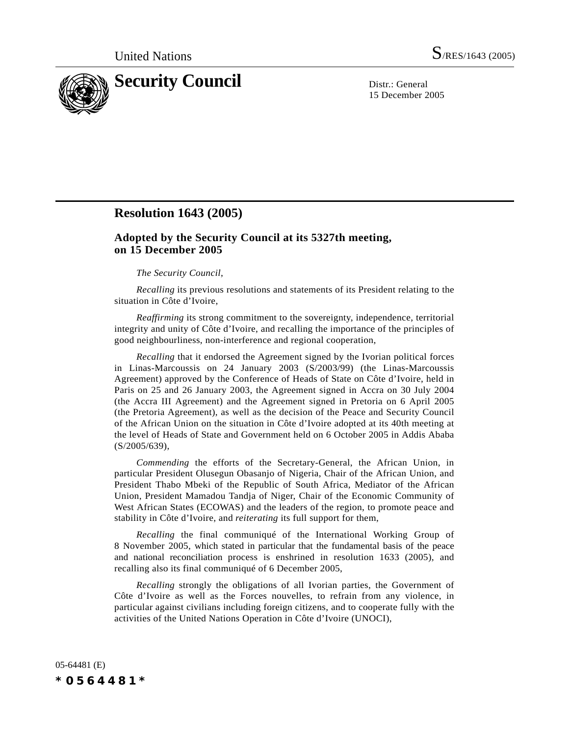

15 December 2005

## **Resolution 1643 (2005)**

## **Adopted by the Security Council at its 5327th meeting, on 15 December 2005**

## *The Security Council*,

*Recalling* its previous resolutions and statements of its President relating to the situation in Côte d'Ivoire,

*Reaffirming* its strong commitment to the sovereignty, independence, territorial integrity and unity of Côte d'Ivoire, and recalling the importance of the principles of good neighbourliness, non-interference and regional cooperation,

*Recalling* that it endorsed the Agreement signed by the Ivorian political forces in Linas-Marcoussis on 24 January 2003 (S/2003/99) (the Linas-Marcoussis Agreement) approved by the Conference of Heads of State on Côte d'Ivoire, held in Paris on 25 and 26 January 2003, the Agreement signed in Accra on 30 July 2004 (the Accra III Agreement) and the Agreement signed in Pretoria on 6 April 2005 (the Pretoria Agreement), as well as the decision of the Peace and Security Council of the African Union on the situation in Côte d'Ivoire adopted at its 40th meeting at the level of Heads of State and Government held on 6 October 2005 in Addis Ababa (S/2005/639),

*Commending* the efforts of the Secretary-General, the African Union, in particular President Olusegun Obasanjo of Nigeria, Chair of the African Union, and President Thabo Mbeki of the Republic of South Africa, Mediator of the African Union, President Mamadou Tandja of Niger, Chair of the Economic Community of West African States (ECOWAS) and the leaders of the region, to promote peace and stability in Côte d'Ivoire, and *reiterating* its full support for them,

*Recalling* the final communiqué of the International Working Group of 8 November 2005, which stated in particular that the fundamental basis of the peace and national reconciliation process is enshrined in resolution 1633 (2005), and recalling also its final communiqué of 6 December 2005,

*Recalling* strongly the obligations of all Ivorian parties, the Government of Côte d'Ivoire as well as the Forces nouvelles, to refrain from any violence, in particular against civilians including foreign citizens, and to cooperate fully with the activities of the United Nations Operation in Côte d'Ivoire (UNOCI),

05-64481 (E) *\*0564481\**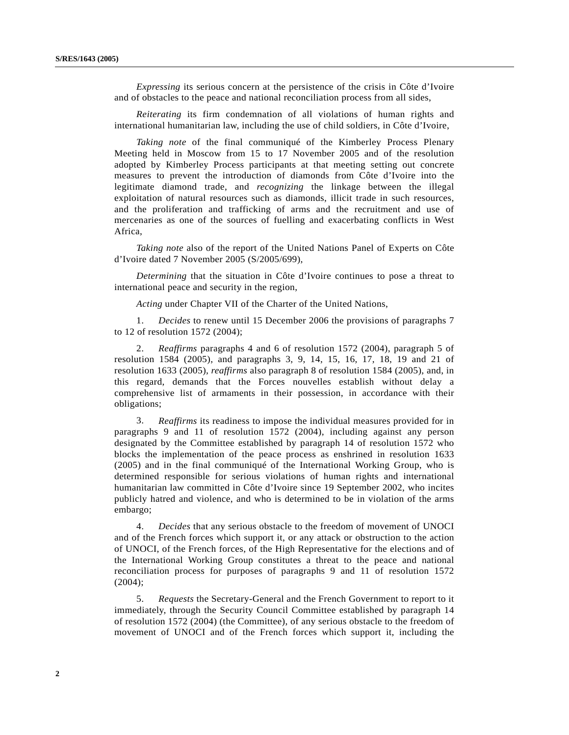*Expressing* its serious concern at the persistence of the crisis in Côte d'Ivoire and of obstacles to the peace and national reconciliation process from all sides,

*Reiterating* its firm condemnation of all violations of human rights and international humanitarian law, including the use of child soldiers, in Côte d'Ivoire,

*Taking note* of the final communiqué of the Kimberley Process Plenary Meeting held in Moscow from 15 to 17 November 2005 and of the resolution adopted by Kimberley Process participants at that meeting setting out concrete measures to prevent the introduction of diamonds from Côte d'Ivoire into the legitimate diamond trade, and *recognizing* the linkage between the illegal exploitation of natural resources such as diamonds, illicit trade in such resources, and the proliferation and trafficking of arms and the recruitment and use of mercenaries as one of the sources of fuelling and exacerbating conflicts in West Africa,

*Taking note* also of the report of the United Nations Panel of Experts on Côte d'Ivoire dated 7 November 2005 (S/2005/699),

*Determining* that the situation in Côte d'Ivoire continues to pose a threat to international peace and security in the region,

*Acting* under Chapter VII of the Charter of the United Nations,

1. *Decides* to renew until 15 December 2006 the provisions of paragraphs 7 to 12 of resolution 1572 (2004);

2. *Reaffirms* paragraphs 4 and 6 of resolution 1572 (2004), paragraph 5 of resolution 1584 (2005), and paragraphs 3, 9, 14, 15, 16, 17, 18, 19 and 21 of resolution 1633 (2005), *reaffirms* also paragraph 8 of resolution 1584 (2005), and, in this regard, demands that the Forces nouvelles establish without delay a comprehensive list of armaments in their possession, in accordance with their obligations;

3. *Reaffirms* its readiness to impose the individual measures provided for in paragraphs 9 and 11 of resolution 1572 (2004), including against any person designated by the Committee established by paragraph 14 of resolution 1572 who blocks the implementation of the peace process as enshrined in resolution 1633 (2005) and in the final communiqué of the International Working Group, who is determined responsible for serious violations of human rights and international humanitarian law committed in Côte d'Ivoire since 19 September 2002, who incites publicly hatred and violence, and who is determined to be in violation of the arms embargo;

4. *Decides* that any serious obstacle to the freedom of movement of UNOCI and of the French forces which support it, or any attack or obstruction to the action of UNOCI, of the French forces, of the High Representative for the elections and of the International Working Group constitutes a threat to the peace and national reconciliation process for purposes of paragraphs 9 and 11 of resolution 1572 (2004);

5. *Requests* the Secretary-General and the French Government to report to it immediately, through the Security Council Committee established by paragraph 14 of resolution 1572 (2004) (the Committee), of any serious obstacle to the freedom of movement of UNOCI and of the French forces which support it, including the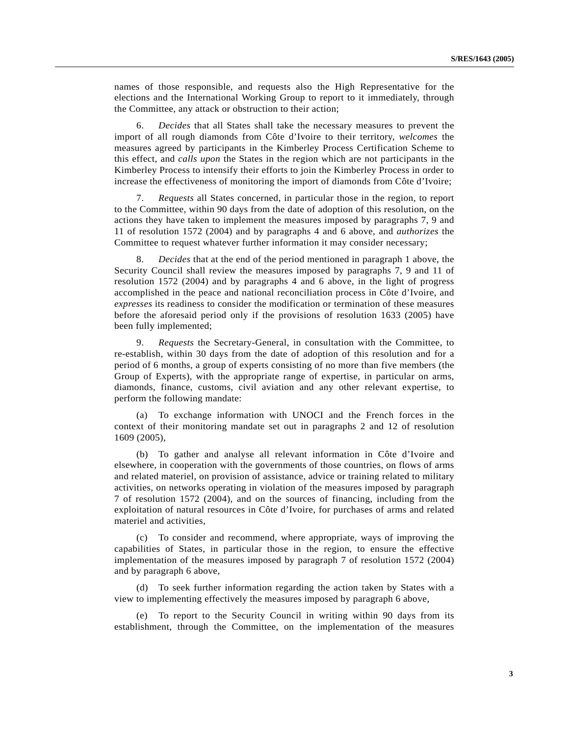names of those responsible, and requests also the High Representative for the elections and the International Working Group to report to it immediately, through the Committee, any attack or obstruction to their action;

6. *Decides* that all States shall take the necessary measures to prevent the import of all rough diamonds from Côte d'Ivoire to their territory, *welcomes* the measures agreed by participants in the Kimberley Process Certification Scheme to this effect, and *calls upon* the States in the region which are not participants in the Kimberley Process to intensify their efforts to join the Kimberley Process in order to increase the effectiveness of monitoring the import of diamonds from Côte d'Ivoire;

7. *Requests* all States concerned, in particular those in the region, to report to the Committee, within 90 days from the date of adoption of this resolution, on the actions they have taken to implement the measures imposed by paragraphs 7, 9 and 11 of resolution 1572 (2004) and by paragraphs 4 and 6 above, and *authorizes* the Committee to request whatever further information it may consider necessary;

8. *Decides* that at the end of the period mentioned in paragraph 1 above, the Security Council shall review the measures imposed by paragraphs 7, 9 and 11 of resolution 1572 (2004) and by paragraphs 4 and 6 above, in the light of progress accomplished in the peace and national reconciliation process in Côte d'Ivoire, and *expresses* its readiness to consider the modification or termination of these measures before the aforesaid period only if the provisions of resolution 1633 (2005) have been fully implemented;

9. *Requests* the Secretary-General, in consultation with the Committee, to re-establish, within 30 days from the date of adoption of this resolution and for a period of 6 months, a group of experts consisting of no more than five members (the Group of Experts), with the appropriate range of expertise, in particular on arms, diamonds, finance, customs, civil aviation and any other relevant expertise, to perform the following mandate:

(a) To exchange information with UNOCI and the French forces in the context of their monitoring mandate set out in paragraphs 2 and 12 of resolution 1609 (2005),

(b) To gather and analyse all relevant information in Côte d'Ivoire and elsewhere, in cooperation with the governments of those countries, on flows of arms and related materiel, on provision of assistance, advice or training related to military activities, on networks operating in violation of the measures imposed by paragraph 7 of resolution 1572 (2004), and on the sources of financing, including from the exploitation of natural resources in Côte d'Ivoire, for purchases of arms and related materiel and activities,

(c) To consider and recommend, where appropriate, ways of improving the capabilities of States, in particular those in the region, to ensure the effective implementation of the measures imposed by paragraph 7 of resolution 1572 (2004) and by paragraph 6 above,

(d) To seek further information regarding the action taken by States with a view to implementing effectively the measures imposed by paragraph 6 above,

(e) To report to the Security Council in writing within 90 days from its establishment, through the Committee, on the implementation of the measures